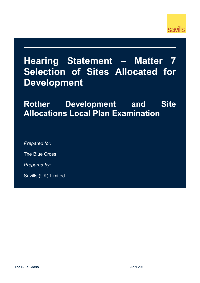

# **Hearing Statement – Matter 7 Selection of Sites Allocated for Development**

**Rother Development and Site Allocations Local Plan Examination**

*Prepared for:*

The Blue Cross

*Prepared by:*

Savills (UK) Limited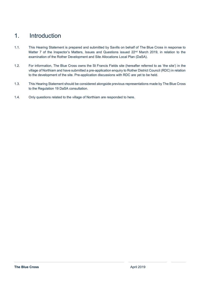### 1. Introduction

- 1.1. This Hearing Statement is prepared and submitted by Savills on behalf of The Blue Cross in response to Matter 7 of the Inspector's Matters, Issues and Questions issued 22<sup>nd</sup> March 2019, in relation to the examination of the Rother Development and Site Allocations Local Plan (DaSA).
- 1.2. For information, The Blue Cross owns the St Francis Fields site (hereafter referred to as 'the site') in the village of Northiam and have submitted a pre-application enquiry to Rother District Council (RDC) in relation to the development of the site. Pre-application discussions with RDC are yet to be held.
- 1.3. This Hearing Statement should be considered alongside previous representations made by The Blue Cross to the Regulation 19 DaSA consultation.
- 1.4. Only questions related to the village of Northiam are responded to here.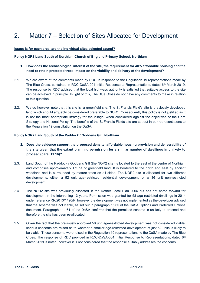## 2. Matter 7 – Selection of Sites Allocated for Development

#### **Issue: Is for each area, are the individual sites selected sound?**

#### **Policy NOR1 Land South of Northiam Church of England Primary School, Northiam**

- **1. How does the archaeological interest of the site, the requirement for 40% affordable housing and the need to retain protected trees impact on the viability and delivery of the development?**
- 2.1. We are aware of the comments made by RDC in response to the Regulation 19 representations made by The Blue Cross, contained in RDC-DaSA-004 Initial Response to Representations, dated 6th March 2019. The response by RDC advised that the local highways authority is satisfied that suitable access to the site can be achieved in principle. In light of this, The Blue Cross do not have any comments to make in relation to this question.
- 2.2. We do however note that this site is a greenfield site. The St Francis Field's site is previously developed land which should arguably be considered preferable to NOR1. Consequently this policy is not justified as it is not the most appropriate strategy for the village, when considered against the objectives of the Core Strategy and National Policy. The benefits of the St Francis Fields site are set out in our representations to the Regulation 19 consultation on the DaSA.

#### **Policy NOR2 Land South of the Paddock / Goddens Gill, Northiam**

- **2. Does the evidence support the proposed density, affordable housing provision and deliverability of the site given that the extant planning permission for a similar number of dwellings in unlikely to proceed (para. 11.16)?**
- 2.3. Land South of the Paddock / Goddens Gill (the NOR2 site) is located to the east of the centre of Northiam and comprises approximately 1.2 ha of greenfield land. It is bordered to the north and east by ancient woodland and is surrounded by mature trees on all sides. The NOR2 site is allocated for two different developments, either a 52 unit age-restricted residential development, or a 36 unit non-restricted development.
- 2.4. The NOR2 site was previously allocated in the Rother Local Plan 2006 but has not come forward for development in the intervening 13 years. Permission was granted for 58 age restricted dwellings in 2014 under reference RR/2013/1490/P, however the development was not implemented as the developer advised that the scheme was not viable, as set out in paragraph 15.65 of the DaSA Options and Preferred Options document. Paragraph 11.161 of the DaSA confirms that the permitted scheme is unlikely to proceed and therefore the site has been re-allocated.
- 2.5. Given the fact that the previously approved 58 unit age-restricted development was not considered viable, serious concerns are raised as to whether a smaller age-restricted development of just 52 units is likely to be viable. These concerns were raised in the Regulation 19 representations to the DaSA made by The Blue Cross. The response of RDC provided in RDC-DaSA-004 Initial Response to Representations, dated 6<sup>th</sup> March 2019 is noted, however it is not considered that the response suitably addresses the concerns.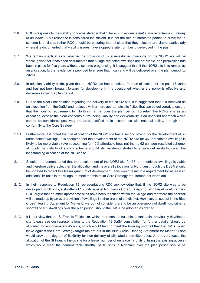- 2.6. RDC's response to the viability concerns stated is that *"There is no evidence that a smaller scheme is unlikely to be viable".* This response is considered insufficient. It is not the role of interested parties to prove that a scheme is unviable, rather RDC should be ensuring that all sites that they allocate are viable, particularly where it is documented that viability issues have stopped a site from being developed in the past.
- 2.7. We remain sceptical as to whether the provision of 52 age-restricted dwellings on the NOR2 site will be viable, given that it has been documented that 58 age-restricted dwellings are not viable, and permission has been in place for five years without a scheme progressing. It is suggest that, if the NOR2 site is to remain as an allocation, further evidence is provided to ensure that it can and will be delivered over the plan period (to 2028).
- 2.8. In addition, viability aside, given that the NOR2 site has benefitted from an allocation for the past 13 years and has not been brought forward for development, it is questioned whether the policy is effective and deliverable over the plan period.
- 2.9. Due to the clear uncertainties regarding the delivery of the NOR2 site, it is suggested that it is removed as an allocation from the DaSA and replaced with a more appropriate site / sites that can be delivered, to ensure that the housing requirement for Northiam is met over the plan period. To retain the NOR2 site as an allocation, despite the clear concerns surrounding viability and deliverability is an unsound approach which cannot be considered positively prepared, justified or in accordance with national policy, through nonconformity to the Core Strategy.
- 2.10. Furthermore, it is noted that the allocation of the NOR2 site has a second strand, for the development of 36 unrestricted dwellings. It is accepted that the development of the NOR2 site for 36 unrestricted dwellings is likely to be more viable (even accounting for 40% affordable housing) than a 52 unit age-restricted scheme, although the viability of such a scheme should still be demonstrated to ensure deliverability, given the longstanding allocation at the NOR2 site.
- 2.11. Should it be demonstrated that the development of the NOR2 site for 36 non-restricted dwellings is viable and therefore deliverable, then the allocation and the overall allocation for Northiam through the DaSA should be updated to reflect this lesser quantum of development. This would result in a requirement for at least an additional 16 units in the village, to meet the minimum Core Strategy requirement for Northiam.
- 2.12. In their response to Regulation 19 representations RDC acknowledge that, if the NOR2 site was to be developed for 36 units, a shortfall of 16 units against Northiam's Core Strategy housing target would remain. RDC argue that no other appropriate sites have been identified within the village and therefore the shortfall will be made up by an overprovision of dwellings in other areas of the district. However, as set out in the Blue Cross' Hearing Statement for Matter 6, we do not consider there to be an oversupply of dwellings, rather a shortfall of 162 dwellings over the plan period, should the DaSA be adopted as drafted.
- 2.13. It is our view that the St Francis Fields site, which represents a suitable, sustainable, previously developed site (please see our representations to the Regulation 19 DaSA consultation for further details) should be allocated for approximately 45 units, which would help to meet the housing shortfall that the DaSA would leave against the Core Strategy target (as set out in the Blue Cross' Hearing Statement for Matter 6) and would provide a degree of flexibility for non-delivery of allocated / permitted sites. At the very least, the allocation of the St Francis Fields site for a lesser number of units (i.e 17 units utilising the existing access) which would meet the demonstrable shortfall of 16 units in Northiam over the plan period should be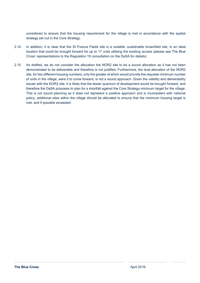considered to ensure that the housing requirement for the village is met in accordance with the spatial strategy set out in the Core Strategy.

- 2.14. In addition, it is clear that the St Francis Fields site is a suitable, sustainable brownfield site, in an ideal location that could be brought forward for up to 17 units utilising the existing access (please see The Blue Cross' representations to the Regulation 19 consultation on the DaSA for details).
- 2.15. As drafted, we do not consider the allocation the NOR2 site to be a sound allocation as it has not been demonstrated to be deliverable and therefore is not justified. Furthermore, the dual allocation of the NOR2 site, for two different housing numbers, only the greater of which would provide the requisite minimum number of units in the village, were it to come forward, is not a sound approach. Given the viability and deliverability issues with the NOR2 site, it is likely that the lesser quantum of development would be brought forward, and therefore the DaSA proposes to plan for a shortfall against the Core Strategy minimum target for the village. This is not sound planning as it does not represent a positive approach and is inconsistent with national policy, additional sites within the village should be allocated to ensure that the minimum housing target is met, and if possible exceeded.